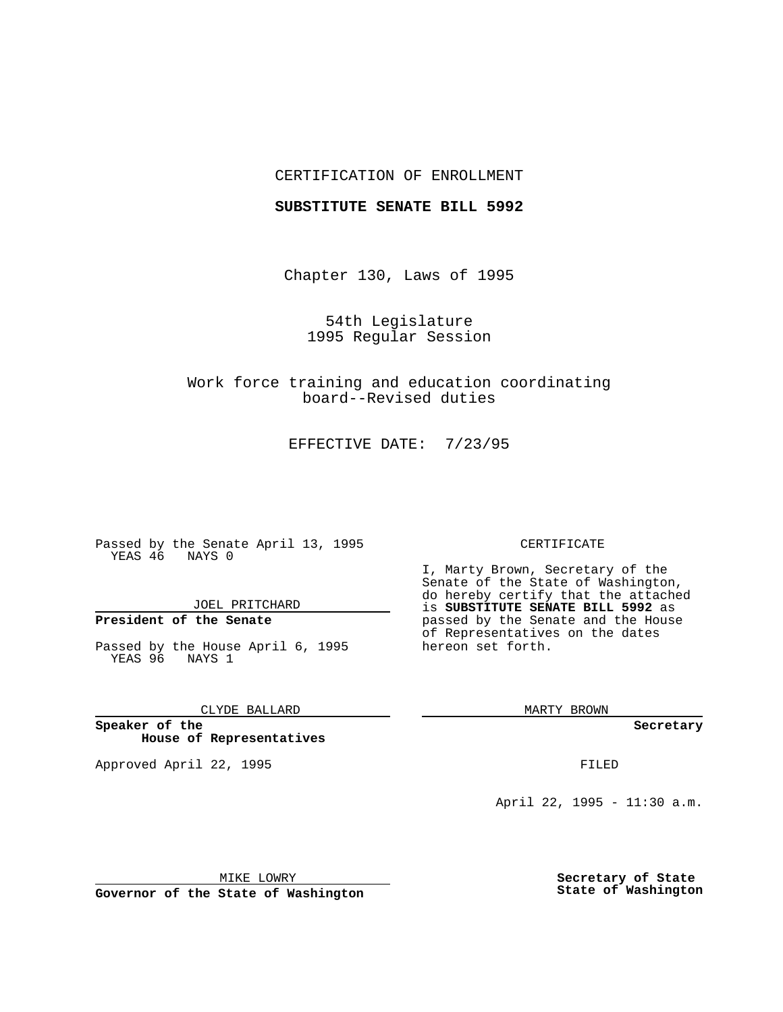## CERTIFICATION OF ENROLLMENT

### **SUBSTITUTE SENATE BILL 5992**

Chapter 130, Laws of 1995

54th Legislature 1995 Regular Session

Work force training and education coordinating board--Revised duties

EFFECTIVE DATE: 7/23/95

Passed by the Senate April 13, 1995 YEAS 46 NAYS 0

JOEL PRITCHARD

# **President of the Senate**

Passed by the House April 6, 1995 YEAS 96 NAYS 1

CLYDE BALLARD

**Speaker of the House of Representatives**

Approved April 22, 1995 FILED

#### CERTIFICATE

I, Marty Brown, Secretary of the Senate of the State of Washington, do hereby certify that the attached is **SUBSTITUTE SENATE BILL 5992** as passed by the Senate and the House of Representatives on the dates hereon set forth.

MARTY BROWN

**Secretary**

April 22, 1995 - 11:30 a.m.

MIKE LOWRY **Governor of the State of Washington** **Secretary of State State of Washington**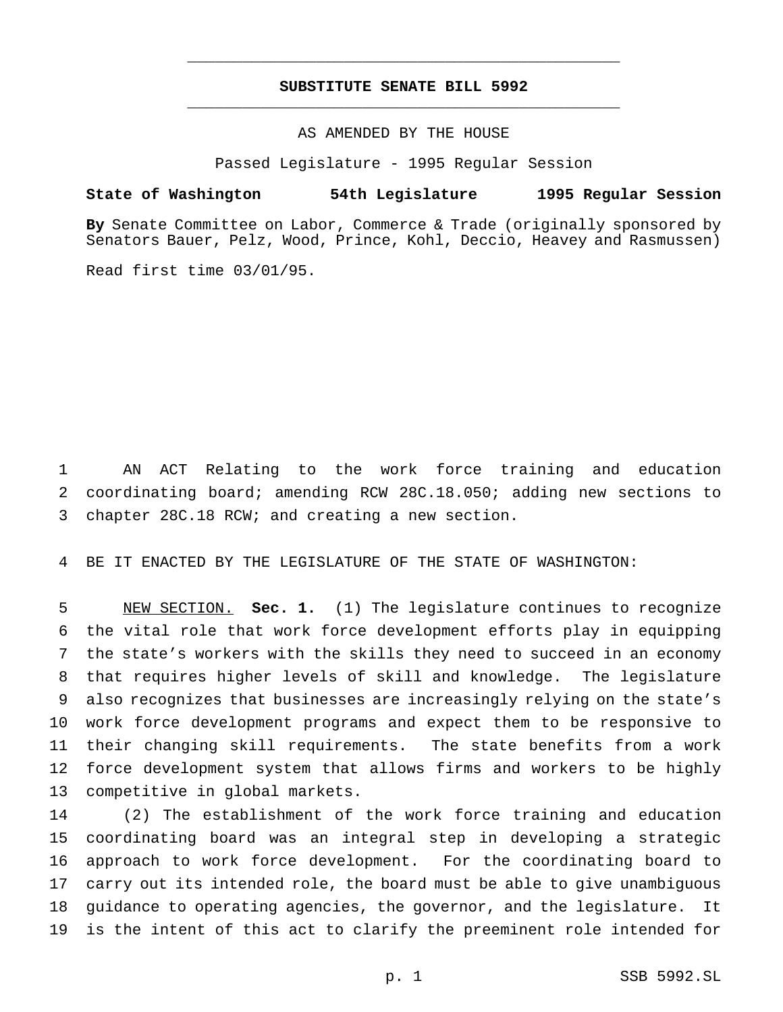# **SUBSTITUTE SENATE BILL 5992** \_\_\_\_\_\_\_\_\_\_\_\_\_\_\_\_\_\_\_\_\_\_\_\_\_\_\_\_\_\_\_\_\_\_\_\_\_\_\_\_\_\_\_\_\_\_\_

\_\_\_\_\_\_\_\_\_\_\_\_\_\_\_\_\_\_\_\_\_\_\_\_\_\_\_\_\_\_\_\_\_\_\_\_\_\_\_\_\_\_\_\_\_\_\_

## AS AMENDED BY THE HOUSE

Passed Legislature - 1995 Regular Session

### **State of Washington 54th Legislature 1995 Regular Session**

**By** Senate Committee on Labor, Commerce & Trade (originally sponsored by Senators Bauer, Pelz, Wood, Prince, Kohl, Deccio, Heavey and Rasmussen)

Read first time 03/01/95.

 AN ACT Relating to the work force training and education coordinating board; amending RCW 28C.18.050; adding new sections to chapter 28C.18 RCW; and creating a new section.

BE IT ENACTED BY THE LEGISLATURE OF THE STATE OF WASHINGTON:

 NEW SECTION. **Sec. 1.** (1) The legislature continues to recognize the vital role that work force development efforts play in equipping the state's workers with the skills they need to succeed in an economy that requires higher levels of skill and knowledge. The legislature also recognizes that businesses are increasingly relying on the state's work force development programs and expect them to be responsive to their changing skill requirements. The state benefits from a work force development system that allows firms and workers to be highly competitive in global markets.

 (2) The establishment of the work force training and education coordinating board was an integral step in developing a strategic approach to work force development. For the coordinating board to carry out its intended role, the board must be able to give unambiguous guidance to operating agencies, the governor, and the legislature. It is the intent of this act to clarify the preeminent role intended for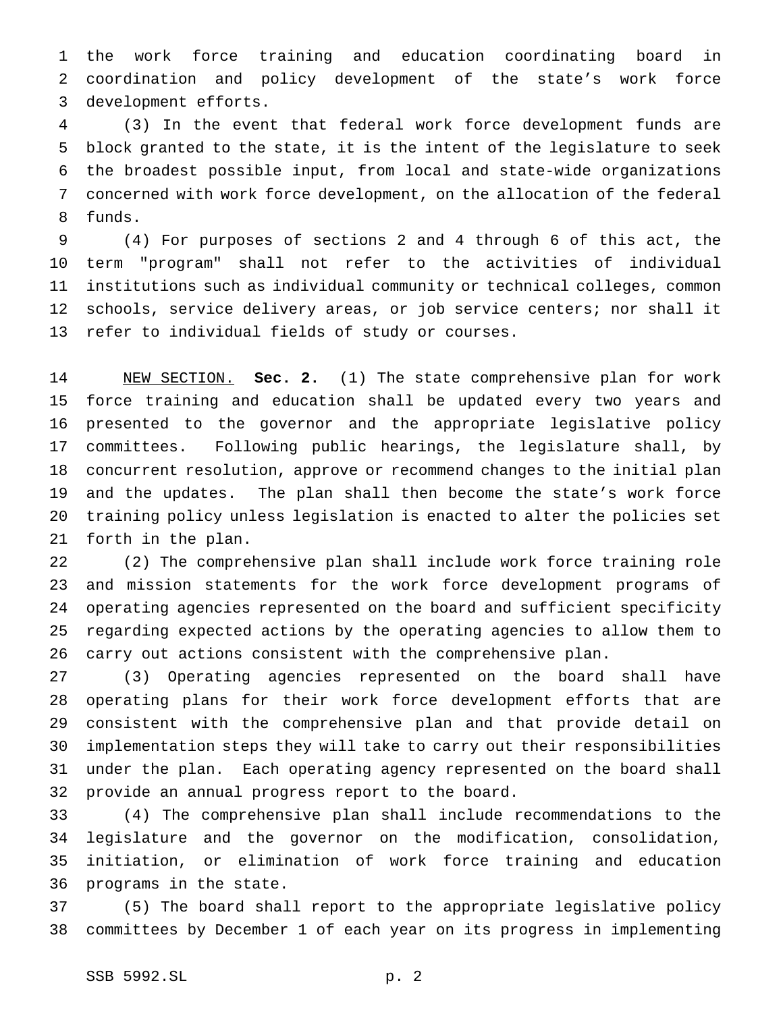the work force training and education coordinating board in coordination and policy development of the state's work force development efforts.

 (3) In the event that federal work force development funds are block granted to the state, it is the intent of the legislature to seek the broadest possible input, from local and state-wide organizations concerned with work force development, on the allocation of the federal funds.

 (4) For purposes of sections 2 and 4 through 6 of this act, the term "program" shall not refer to the activities of individual institutions such as individual community or technical colleges, common schools, service delivery areas, or job service centers; nor shall it refer to individual fields of study or courses.

 NEW SECTION. **Sec. 2.** (1) The state comprehensive plan for work force training and education shall be updated every two years and presented to the governor and the appropriate legislative policy committees. Following public hearings, the legislature shall, by concurrent resolution, approve or recommend changes to the initial plan and the updates. The plan shall then become the state's work force training policy unless legislation is enacted to alter the policies set forth in the plan.

 (2) The comprehensive plan shall include work force training role and mission statements for the work force development programs of operating agencies represented on the board and sufficient specificity regarding expected actions by the operating agencies to allow them to carry out actions consistent with the comprehensive plan.

 (3) Operating agencies represented on the board shall have operating plans for their work force development efforts that are consistent with the comprehensive plan and that provide detail on implementation steps they will take to carry out their responsibilities under the plan. Each operating agency represented on the board shall provide an annual progress report to the board.

 (4) The comprehensive plan shall include recommendations to the legislature and the governor on the modification, consolidation, initiation, or elimination of work force training and education programs in the state.

 (5) The board shall report to the appropriate legislative policy committees by December 1 of each year on its progress in implementing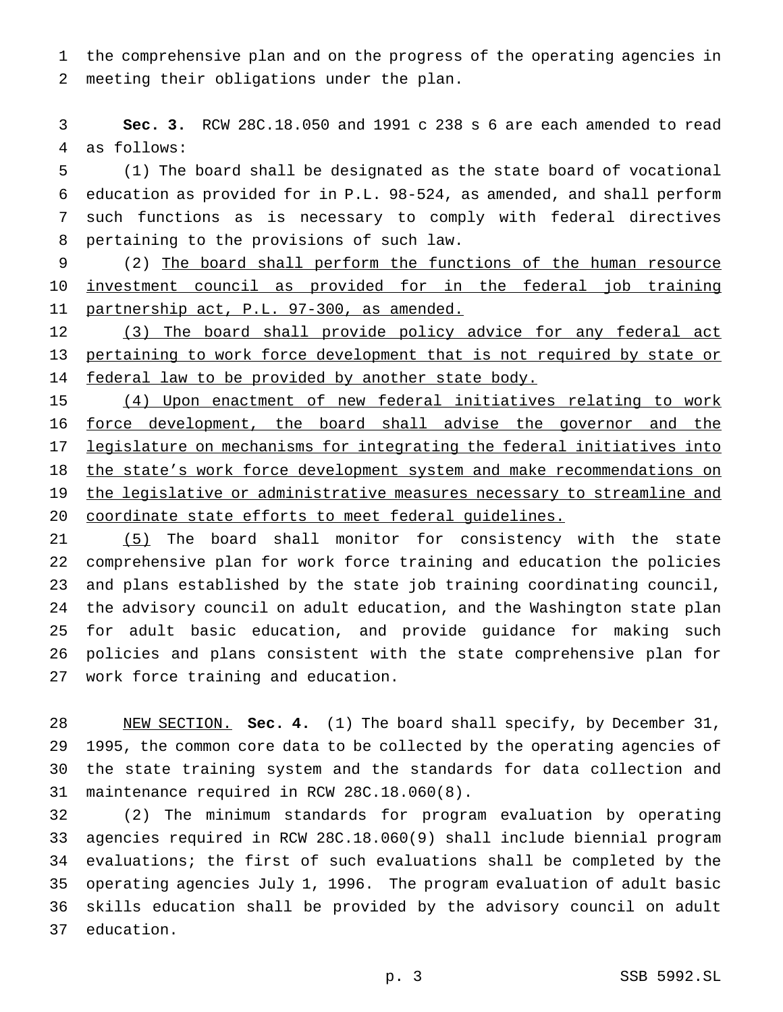the comprehensive plan and on the progress of the operating agencies in meeting their obligations under the plan.

 **Sec. 3.** RCW 28C.18.050 and 1991 c 238 s 6 are each amended to read as follows:

 (1) The board shall be designated as the state board of vocational education as provided for in P.L. 98-524, as amended, and shall perform such functions as is necessary to comply with federal directives pertaining to the provisions of such law.

 (2) The board shall perform the functions of the human resource investment council as provided for in the federal job training 11 partnership act, P.L. 97-300, as amended.

 (3) The board shall provide policy advice for any federal act 13 pertaining to work force development that is not required by state or 14 federal law to be provided by another state body.

 (4) Upon enactment of new federal initiatives relating to work 16 force development, the board shall advise the governor and the 17 legislature on mechanisms for integrating the federal initiatives into 18 the state's work force development system and make recommendations on the legislative or administrative measures necessary to streamline and coordinate state efforts to meet federal guidelines.

21 (5) The board shall monitor for consistency with the state comprehensive plan for work force training and education the policies and plans established by the state job training coordinating council, the advisory council on adult education, and the Washington state plan for adult basic education, and provide guidance for making such policies and plans consistent with the state comprehensive plan for work force training and education.

 NEW SECTION. **Sec. 4.** (1) The board shall specify, by December 31, 1995, the common core data to be collected by the operating agencies of the state training system and the standards for data collection and maintenance required in RCW 28C.18.060(8).

 (2) The minimum standards for program evaluation by operating agencies required in RCW 28C.18.060(9) shall include biennial program evaluations; the first of such evaluations shall be completed by the operating agencies July 1, 1996. The program evaluation of adult basic skills education shall be provided by the advisory council on adult education.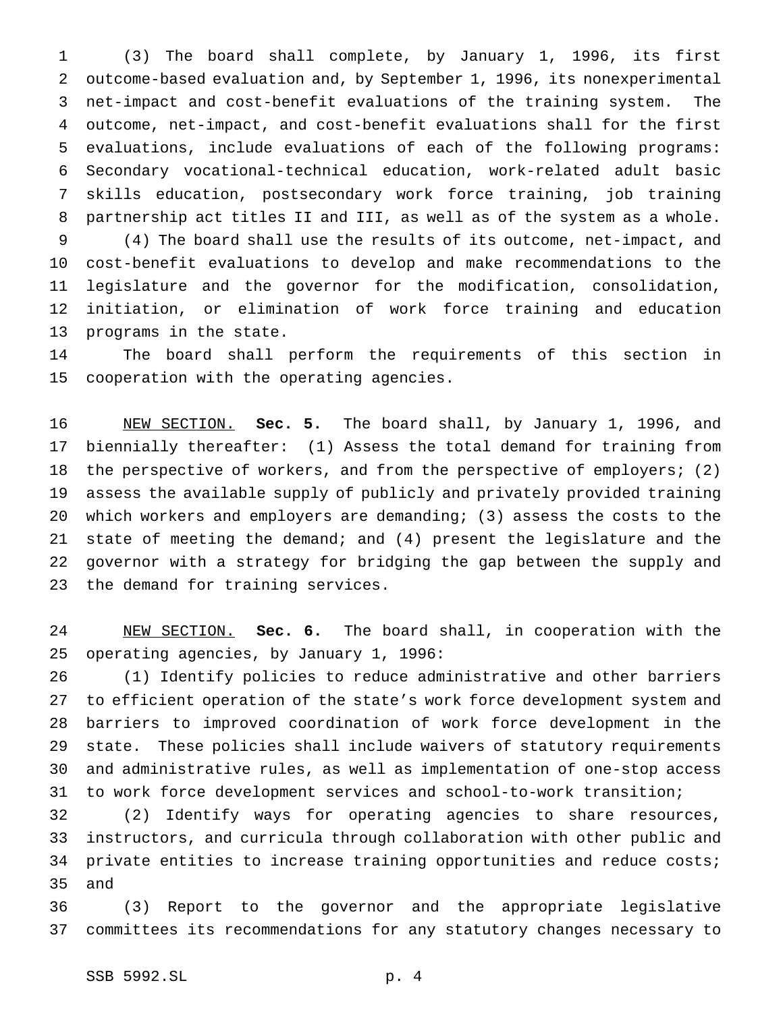(3) The board shall complete, by January 1, 1996, its first outcome-based evaluation and, by September 1, 1996, its nonexperimental net-impact and cost-benefit evaluations of the training system. The outcome, net-impact, and cost-benefit evaluations shall for the first evaluations, include evaluations of each of the following programs: Secondary vocational-technical education, work-related adult basic skills education, postsecondary work force training, job training partnership act titles II and III, as well as of the system as a whole. (4) The board shall use the results of its outcome, net-impact, and cost-benefit evaluations to develop and make recommendations to the legislature and the governor for the modification, consolidation, initiation, or elimination of work force training and education

 The board shall perform the requirements of this section in cooperation with the operating agencies.

 NEW SECTION. **Sec. 5.** The board shall, by January 1, 1996, and biennially thereafter: (1) Assess the total demand for training from the perspective of workers, and from the perspective of employers; (2) assess the available supply of publicly and privately provided training which workers and employers are demanding; (3) assess the costs to the state of meeting the demand; and (4) present the legislature and the governor with a strategy for bridging the gap between the supply and the demand for training services.

 NEW SECTION. **Sec. 6.** The board shall, in cooperation with the operating agencies, by January 1, 1996:

 (1) Identify policies to reduce administrative and other barriers to efficient operation of the state's work force development system and barriers to improved coordination of work force development in the state. These policies shall include waivers of statutory requirements and administrative rules, as well as implementation of one-stop access to work force development services and school-to-work transition;

 (2) Identify ways for operating agencies to share resources, instructors, and curricula through collaboration with other public and private entities to increase training opportunities and reduce costs; and

 (3) Report to the governor and the appropriate legislative committees its recommendations for any statutory changes necessary to

programs in the state.